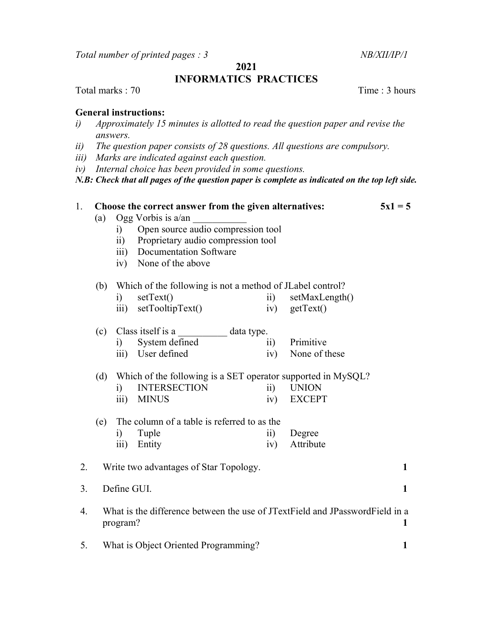Total number of printed pages : 3 NB/XII/IP/1

2021

## INFORMATICS PRACTICES

Total marks : 70 Total marks : 70 Total marks : 70 Total marks : 70 Total marks : 70 Total marks : 70 Total marks : 70 Total marks : 70 Total marks : 70 Total marks : 70 Total marks : 70 Total marks : 70 Total marks : 70 T

## General instructions:

- i) Approximately 15 minutes is allotted to read the question paper and revise the answers.
- ii) The question paper consists of 28 questions. All questions are compulsory.
- iii) Marks are indicated against each question.
- iv) Internal choice has been provided in some questions.

N.B: Check that all pages of the question paper is complete as indicated on the top left side.

1. Choose the correct answer from the given alternatives:  $5x1 = 5$ (a) Ogg Vorbis is  $a/\text{an}$  i) Open source audio compression tool ii) Proprietary audio compression tool iii) Documentation Software iv) None of the above (b) Which of the following is not a method of JLabel control? i) setText() ii) setMaxLength() iii) setTooltipText() iv) getText() (c) Class itself is a \_\_\_\_\_\_\_\_\_\_ data type. i) System defined ii) Primitive iii) User defined iv) None of these (d) Which of the following is a SET operator supported in MySQL? i) INTERSECTION ii) UNION iii) MINUS iv) EXCEPT (e) The column of a table is referred to as the i) Tuple ii) Degree iii) Entity iv) Attribute 2. Write two advantages of Star Topology. 1 3. Define GUI. 1 4. What is the difference between the use of JTextField and JPasswordField in a program? 1 5. What is Object Oriented Programming? 1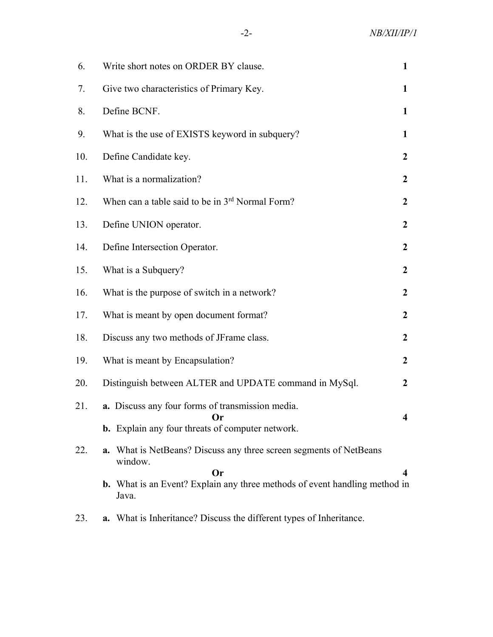| 6.  | Write short notes on ORDER BY clause.                                                                              |                         |  |  |  |  |  |
|-----|--------------------------------------------------------------------------------------------------------------------|-------------------------|--|--|--|--|--|
| 7.  | Give two characteristics of Primary Key.                                                                           | 1                       |  |  |  |  |  |
| 8.  | Define BCNF.                                                                                                       | $\mathbf{1}$            |  |  |  |  |  |
| 9.  | What is the use of EXISTS keyword in subquery?                                                                     | $\mathbf{1}$            |  |  |  |  |  |
| 10. | Define Candidate key.                                                                                              | $\boldsymbol{2}$        |  |  |  |  |  |
| 11. | What is a normalization?                                                                                           | $\mathbf{2}$            |  |  |  |  |  |
| 12. | When can a table said to be in 3rd Normal Form?                                                                    | $\boldsymbol{2}$        |  |  |  |  |  |
| 13. | Define UNION operator.                                                                                             | $\boldsymbol{2}$        |  |  |  |  |  |
| 14. | Define Intersection Operator.                                                                                      |                         |  |  |  |  |  |
| 15. | What is a Subquery?<br>$\boldsymbol{2}$                                                                            |                         |  |  |  |  |  |
| 16. | What is the purpose of switch in a network?                                                                        | $\boldsymbol{2}$        |  |  |  |  |  |
| 17. | What is meant by open document format?                                                                             | $\boldsymbol{2}$        |  |  |  |  |  |
| 18. | Discuss any two methods of JFrame class.                                                                           | $\boldsymbol{2}$        |  |  |  |  |  |
| 19. | What is meant by Encapsulation?                                                                                    | $\boldsymbol{2}$        |  |  |  |  |  |
| 20. | Distinguish between ALTER and UPDATE command in MySql.                                                             | $\boldsymbol{2}$        |  |  |  |  |  |
| 21. | a. Discuss any four forms of transmission media.<br>Or.<br><b>b.</b> Explain any four threats of computer network. | $\overline{\mathbf{4}}$ |  |  |  |  |  |
| 22. | a. What is NetBeans? Discuss any three screen segments of NetBeans<br>window.<br><b>Or</b>                         | 4                       |  |  |  |  |  |
|     | b. What is an Event? Explain any three methods of event handling method in<br>Java.                                |                         |  |  |  |  |  |
| 23. | a. What is Inheritance? Discuss the different types of Inheritance.                                                |                         |  |  |  |  |  |